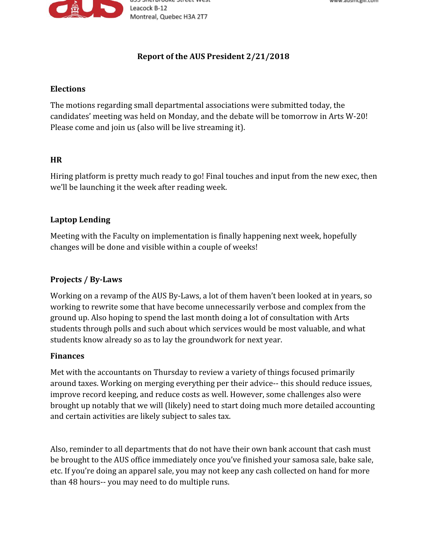

# **Report of the AUS President 2/21/2018**

#### **Elections**

The motions regarding small departmental associations were submitted today, the candidates' meeting was held on Monday, and the debate will be tomorrow in Arts W-20! Please come and join us (also will be live streaming it).

### **HR**

Hiring platform is pretty much ready to go! Final touches and input from the new exec, then we'll be launching it the week after reading week.

### **Laptop Lending**

Meeting with the Faculty on implementation is finally happening next week, hopefully changes will be done and visible within a couple of weeks!

## **Projects / By-Laws**

Working on a revamp of the AUS By-Laws, a lot of them haven't been looked at in years, so working to rewrite some that have become unnecessarily verbose and complex from the ground up. Also hoping to spend the last month doing a lot of consultation with Arts students through polls and such about which services would be most valuable, and what students know already so as to lay the groundwork for next year.

#### **Finances**

Met with the accountants on Thursday to review a variety of things focused primarily around taxes. Working on merging everything per their advice-- this should reduce issues, improve record keeping, and reduce costs as well. However, some challenges also were brought up notably that we will (likely) need to start doing much more detailed accounting and certain activities are likely subject to sales tax.

Also, reminder to all departments that do not have their own bank account that cash must be brought to the AUS office immediately once you've finished your samosa sale, bake sale, etc. If you're doing an apparel sale, you may not keep any cash collected on hand for more than 48 hours-- you may need to do multiple runs.